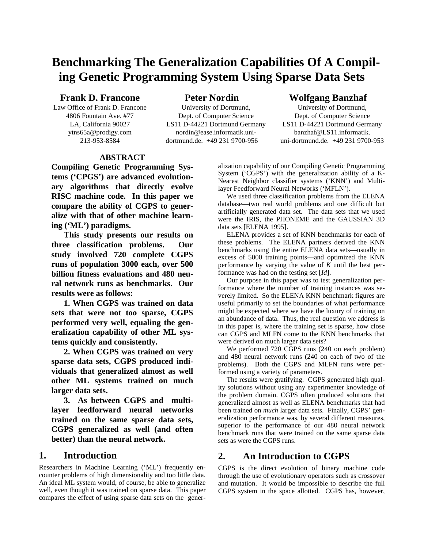# **Benchmarking The Generalization Capabilities Of A Compiling Genetic Programming System Using Sparse Data Sets**

### **Frank D. Francone**

Law Office of Frank D. Francone 4806 Fountain Ave. #77 LA, California 90027 ytns65a@prodigy.com 213-953-8584

**Peter Nordin**

University of Dortmund, Dept. of Computer Science LS11 D-44221 Dortmund Germany nordin@ease.informatik.unidortmund.de. +49 231 9700-956

# **Wolfgang Banzhaf**

University of Dortmund, Dept. of Computer Science LS11 D-44221 Dortmund Germany banzhaf@LS11.informatik. uni-dortmund.de. +49 231 9700-953

## **ABSTRACT**

**Compiling Genetic Programming Systems ('CPGS') are advanced evolutionary algorithms that directly evolve RISC machine code. In this paper we compare the ability of CGPS to generalize with that of other machine learning ('ML') paradigms.**

**This study presents our results on three classification problems. Our study involved 720 complete CGPS runs of population 3000 each, over 500 billion fitness evaluations and 480 neural network runs as benchmarks. Our results were as follows:**

**1. When CGPS was trained on data sets that were not too sparse, CGPS performed very well, equaling the generalization capability of other ML systems quickly and consistently.**

**2. When CGPS was trained on very sparse data sets, CGPS produced individuals that generalized almost as well other ML systems trained on much larger data sets.**

**3. As between CGPS and multilayer feedforward neural networks trained on the same sparse data sets, CGPS generalized as well (and often better) than the neural network.**

### **1. Introduction**

Researchers in Machine Learning ('ML') frequently encounter problems of high dimensionality and too little data. An ideal ML system would, of course, be able to generalize well, even though it was trained on sparse data. This paper compares the effect of using sparse data sets on the generalization capability of our Compiling Genetic Programming System ('CGPS') with the generalization ability of a K-Nearest Neighbor classifier systems ('KNN') and Multilayer Feedforward Neural Networks ('MFLN').

We used three classification problems from the ELENA database—two real world problems and one difficult but artificially generated data set. The data sets that we used were the IRIS, the PHONEME and the GAUSSIAN 3D data sets [ELENA 1995].

ELENA provides a set of KNN benchmarks for each of these problems. The ELENA partners derived the KNN benchmarks using the entire ELENA data sets—usually in excess of 5000 training points—and optimized the KNN performance by varying the value of *K* until the best performance was had on the testing set [*Id*].

Our purpose in this paper was to test generalization performance where the number of training instances was severely limited. So the ELENA KNN benchmark figures are useful primarily to set the boundaries of what performance might be expected where we have the luxury of training on an abundance of data. Thus, the real question we address is in this paper is, where the training set is sparse, how close can CGPS and MLFN come to the KNN benchmarks that were derived on much larger data sets?

We performed 720 CGPS runs (240 on each problem) and 480 neural network runs (240 on each of two of the problems). Both the CGPS and MLFN runs were performed using a variety of parameters.

The results were gratifying. CGPS generated high quality solutions without using any experimenter knowledge of the problem domain. CGPS often produced solutions that generalized almost as well as ELENA benchmarks that had been trained on *much* larger data sets. Finally, CGPS' generalization performance was, by several different measures, superior to the performance of our 480 neural network benchmark runs that were trained on the same sparse data sets as were the CGPS runs.

# **2. An Introduction to CGPS**

CGPS is the direct evolution of binary machine code through the use of evolutionary operators such as crossover and mutation. It would be impossible to describe the full CGPS system in the space allotted. CGPS has, however,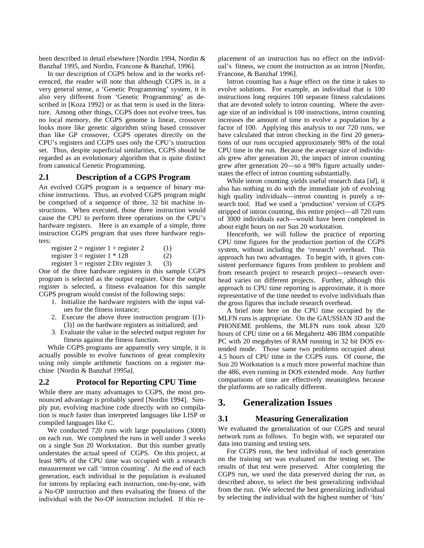been described in detail elsewhere [Nordin 1994, Nordin & Banzhaf 1995, and Nordin, Francone & Banzhaf, 1996].

In our description of CGPS below and in the works referenced, the reader will note that although CGPS is, in a very general sense, a 'Genetic Programming' system, it is also very different from 'Genetic Programming' as described in [Koza 1992] or as that term is used in the literature. Among other things, CGPS does not evolve trees, has no local memory, the CGPS genome is linear, crossover looks more like genetic algorithm string based crossover than like GP crossover, CGPS operates directly on the CPU's registers and CGPS uses only the CPU's instruction set. Thus, despite superficial similarities, CGPS should be regarded as an evolutionary algorithm that is quite distinct from canonical Genetic Programming.

#### **2.1 Description of a CGPS Program**

An evolved CGPS program is a sequence of binary machine instructions. Thus, an evolved CGPS program might be comprised of a sequence of three, 32 bit machine instructions. When executed, those three instruction would cause the CPU to perform three operations on the CPU's hardware registers. Here is an example of a simple, three instruction CGPS program that uses three hardware registers:

register  $2 =$  register  $1 +$  register 2 (1) register  $3 =$  register  $1 * 128$  (2)

register  $3 =$  register 2 Div register 3. (3)

One of the three hardware registers in this sample CGPS program is selected as the output register. Once the output register is selected, a fitness evaluation for this sample CGPS program would consist of the following steps:

- 1. Initialize the hardware registers with the input values for the fitness instance;
- 2. Execute the above three instruction program {(1)- (3)} on the hardware registers as initialized; and
- 3. Evaluate the value in the selected output register for fitness against the fitness function.

While CGPS programs are apparently very simple, it is actually possible to evolve functions of great complexity using only simple arithmetic functions on a register machine [Nordin & Banzhaf 1995a].

#### **2.2 Protocol for Reporting CPU Time**

While there are many advantages to CGPS, the most pronounced advantage is probably speed [Nordin 1994]. Simply put, evolving machine code directly with no compilation is *much* faster than interpreted languages like LISP or compiled languages like C.

We conducted 720 runs with large populations (3000) on each run. We completed the runs in well under 3 weeks on a single Sun 20 Workstation. But this number greatly understates the actual speed of CGPS. On this project, at least 98% of the CPU time was occupied with a research measurement we call 'intron counting'. At the end of each generation, each individual in the population is evaluated for introns by replacing each instruction, one-by-one, with a No-OP instruction and then evaluating the fitness of the individual with the No-OP instruction included. If this replacement of an instruction has no effect on the individual's fitness, we count the instruction as an intron [Nordin, Francone, & Banzhaf 1996].

Intron counting has a *huge* effect on the time it takes to evolve solutions. For example, an individual that is 100 instructions long requires 100 separate fitness calculations that are devoted solely to intron counting. Where the average size of an individual is 100 instructions, intron counting increases the amount of time to evolve a population by a factor of 100. Applying this analysis to our 720 runs, we have calculated that intron checking in the first 20 generations of our runs occupied approximately 98% of the total CPU time in the run. Because the average size of individuals grew after generation 20, the impact of intron counting grew after generation 20—so a 98% figure actually understates the effect of intron counting substantially.

While intron counting yields useful research data [*id*], it also has nothing to do with the immediate job of evolving high quality individuals—intron counting is purely a research tool. Had we used a 'production' version of CGPS stripped of intron counting, this entire project—all 720 runs of 3000 individuals each—would have been completed in about eight hours on our Sun 20 workstation.

Henceforth, we will follow the practice of reporting CPU time figures for the production portion of the CGPS system, without including the 'research' overhead. This approach has two advantages. To begin with, it gives consistent performance figures from problem to problem and from research project to research project—research overhead varies on different projects. Further, although this approach to CPU time reporting is approximate, it is more representative of the time needed to evolve individuals than the gross figures that include research overhead.

A brief note here on the CPU time occupied by the MLFN runs is appropriate. On the GAUSSIAN 3D and the PHONEME problems, the MLFN runs took about 320 hours of CPU time on a 66 Megahertz 486 IBM compatible PC with 20 megabytes of RAM running in 32 bit DOS extended mode. Those same two problems occupied about 4.5 hours of CPU time in the CGPS runs. Of course, the Sun 20 Workstation is a much more powerful machine than the 486, even running in DOS extended mode. Any further comparisons of time are effectively meaningless because the platforms are so radically different.

### **3. Generalization Issues**

### **3.1 Measuring Generalization**

We evaluated the generalization of our CGPS and neural network runs as follows. To begin with, we separated our data into training and testing sets.

For CGPS runs, the best individual of each generation on the training set was evaluated on the testing set. The results of that test were preserved. After completing the CGPS run, we used the data preserved during the run, as described above, to select the best generalizing individual from the run. (We selected the best generalizing individual by selecting the individual with the highest number of 'hits'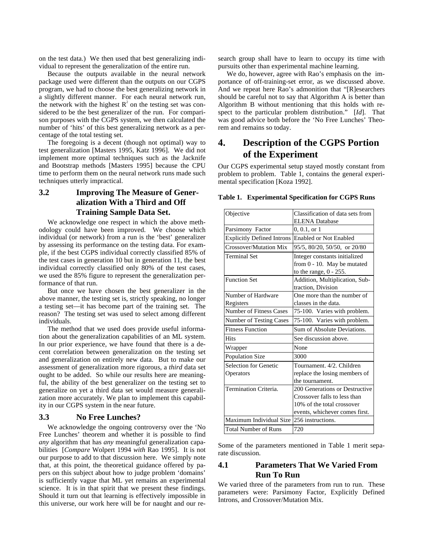on the test data.) We then used that best generalizing individual to represent the generalization of the entire run.

Because the outputs available in the neural network package used were different than the outputs on our CGPS program, we had to choose the best generalizing network in a slightly different manner. For each neural network run, the network with the highest  $R^2$  on the testing set was considered to be the best generalizer of the run. For comparison purposes with the CGPS system, we then calculated the number of 'hits' of this best generalizing network as a percentage of the total testing set.

The foregoing is a decent (though not optimal) way to test generalization [Masters 1995, Katz 1996]. We did not implement more optimal techniques such as the Jacknife and Bootstrap methods [Masters 1995] because the CPU time to perform them on the neural network runs made such techniques utterly impractical.

### **3.2 Improving The Measure of Generalization With a Third and Off Training Sample Data Set.**

We acknowledge one respect in which the above methodology could have been improved. We choose which individual (or network) from a run is the 'best' generalizer by assessing its performance on the testing data. For example, if the best CGPS individual correctly classified 85% of the test cases in generation 10 but in generation 11, the best individual correctly classified only 80% of the test cases, we used the 85% figure to represent the generalization performance of that run.

But once we have chosen the best generalizer in the above manner, the testing set is, strictly speaking, no longer a testing set—it has become part of the training set. The reason? The testing set was used to select among different individuals.

The method that we used does provide useful information about the generalization capabilities of an ML system. In our prior experience, we have found that there is a decent correlation between generalization on the testing set and generalization on entirely new data. But to make our assessment of generalization more rigorous, a *third* data set ought to be added. So while our results here are meaningful, the ability of the best generalizer on the testing set to generalize on yet a third data set would measure generalization more accurately. We plan to implement this capability in our CGPS system in the near future.

#### **3.3 No Free Lunches?**

We acknowledge the ongoing controversy over the 'No Free Lunches' theorem and whether it is possible to find *any* algorithm that has *any* meaningful generalization capabilities [*Compare* Wolpert 1994 *with* Rao 1995]. It is not our purpose to add to that discussion here. We simply note that, at this point, the theoretical guidance offered by papers on this subject about how to judge problem 'domains' is sufficiently vague that ML yet remains an experimental science. It is in that spirit that we present these findings. Should it turn out that learning is effectively impossible in this universe, our work here will be for naught and our research group shall have to learn to occupy its time with pursuits other than experimental machine learning.

We do, however, agree with Rao's emphasis on the importance of off-training-set error, as we discussed above. And we repeat here Rao's admonition that "[R]esearchers should be careful not to say that Algorithm A is better than Algorithm B without mentioning that this holds with respect to the particular problem distribution." [*Id*]. That was good advice both before the 'No Free Lunches' Theorem and remains so today.

# **4. Description of the CGPS Portion of the Experiment**

Our CGPS experimental setup stayed mostly constant from problem to problem. Table 1, contains the general experimental specification [Koza 1992].

| Objective                         | Classification of data sets from<br><b>ELENA</b> Database |
|-----------------------------------|-----------------------------------------------------------|
| Parsimony Factor                  | $0, 0.1,$ or $1$                                          |
| <b>Explicitly Defined Introns</b> | <b>Enabled or Not Enabled</b>                             |
| <b>Crossover/Mutation Mix</b>     | 95/5, 80/20, 50/50, or 20/80                              |
| <b>Terminal Set</b>               | Integer constants initialized                             |
|                                   | from 0 - 10. May be mutated                               |
|                                   | to the range, $0 - 255$ .                                 |
| <b>Function Set</b>               | Addition, Multiplication, Sub-                            |
|                                   | traction, Division                                        |
| Number of Hardware                | One more than the number of                               |
| Registers                         | classes in the data.                                      |
| Number of Fitness Cases           | 75-100. Varies with problem.                              |
| Number of Testing Cases           | 75-100. Varies with problem.                              |
| <b>Fitness Function</b>           | Sum of Absolute Deviations.                               |
| <b>Hits</b>                       | See discussion above.                                     |
| Wrapper                           | None                                                      |
| <b>Population Size</b>            | 3000                                                      |
| Selection for Genetic             | Tournament, 4/2, Children                                 |
| Operators                         | replace the losing members of                             |
|                                   | the tournament.                                           |
| Termination Criteria.             | 200 Generations or Destructive                            |
|                                   | Crossover falls to less than                              |
|                                   | 10% of the total crossover                                |
|                                   | events, whichever comes first.                            |
| Maximum Individual Size           | 256 instructions.                                         |
| <b>Total Number of Runs</b>       | 720                                                       |

#### **Table 1. Experimental Specification for CGPS Runs**

Some of the parameters mentioned in Table 1 merit separate discussion.

### **4.1 Parameters That We Varied From Run To Run**

We varied three of the parameters from run to run. These parameters were: Parsimony Factor, Explicitly Defined Introns, and Crossover/Mutation Mix.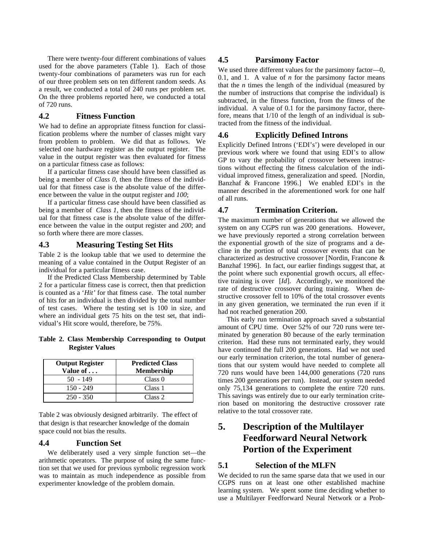There were twenty-four different combinations of values used for the above parameters (Table 1). Each of those twenty-four combinations of parameters was run for each of our three problem sets on ten different random seeds. As a result, we conducted a total of 240 runs per problem set. On the three problems reported here, we conducted a total of 720 runs.

#### **4.2 Fitness Function**

We had to define an appropriate fitness function for classification problems where the number of classes might vary from problem to problem. We did that as follows. We selected one hardware register as the output register. The value in the output register was then evaluated for fitness on a particular fitness case as follows:

If a particular fitness case should have been classified as being a member of *Class 0*, then the fitness of the individual for that fitness case is the absolute value of the difference between the value in the output register and *100*;

If a particular fitness case should have been classified as being a member of *Class 1*, then the fitness of the individual for that fitness case is the absolute value of the difference between the value in the output register and *200*; and so forth where there are more classes.

#### **4.3 Measuring Testing Set Hits**

Table 2 is the lookup table that we used to determine the meaning of a value contained in the Output Register of an individual for a particular fitness case.

If the Predicted Class Membership determined by Table 2 for a particular fitness case is correct, then that prediction is counted as a '*Hit'* for that fitness case. The total number of hits for an individual is then divided by the total number of test cases. Where the testing set is 100 in size, and where an individual gets 75 hits on the test set, that individual's Hit score would, therefore, be 75%.

**Table 2. Class Membership Corresponding to Output Register Values**

| <b>Output Register</b><br>Value of | <b>Predicted Class</b><br><b>Membership</b> |  |
|------------------------------------|---------------------------------------------|--|
| $50 - 149$                         | Class <sub>0</sub>                          |  |
| $150 - 249$                        | Class 1                                     |  |
| $250 - 350$                        | Class 2                                     |  |

Table 2 was obviously designed arbitrarily. The effect of that design is that researcher knowledge of the domain space could not bias the results.

### **4.4 Function Set**

We deliberately used a very simple function set—the arithmetic operators. The purpose of using the same function set that we used for previous symbolic regression work was to maintain as much independence as possible from experimenter knowledge of the problem domain.

#### **4.5 Parsimony Factor**

We used three different values for the parsimony factor—0, 0.1, and 1. A value of *n* for the parsimony factor means that the *n* times the length of the individual (measured by the number of instructions that comprise the individual) is subtracted, in the fitness function, from the fitness of the individual. A value of 0.1 for the parsimony factor, therefore, means that 1/10 of the length of an individual is subtracted from the fitness of the individual.

#### **4.6 Explicitly Defined Introns**

Explicitly Defined Introns ('EDI's') were developed in our previous work where we found that using EDI's to allow GP to vary the probability of crossover between instructions without effecting the fitness calculation of the individual improved fitness, generalization and speed. [Nordin, Banzhaf & Francone 1996.] We enabled EDI's in the manner described in the aforementioned work for one half of all runs.

#### **4.7 Termination Criterion.**

The maximum number of generations that we allowed the system on any CGPS run was 200 generations. However, we have previously reported a strong correlation between the exponential growth of the size of programs and a decline in the portion of total crossover events that can be characterized as destructive crossover [Nordin, Francone & Banzhaf 1996]. In fact, our earlier findings suggest that, at the point where such exponential growth occurs, all effective training is over [*Id*]. Accordingly, we monitored the rate of destructive crossover during training. When destructive crossover fell to 10% of the total crossover events in any given generation, we terminated the run even if it had not reached generation 200.

This early run termination approach saved a substantial amount of CPU time. Over 52% of our 720 runs were terminated by generation 80 because of the early termination criterion. Had these runs not terminated early, they would have continued the full 200 generations. Had we not used our early termination criterion, the total number of generations that our system would have needed to complete all 720 runs would have been 144,000 generations (720 runs times 200 generations per run). Instead, our system needed only 75,134 generations to complete the entire 720 runs. This savings was entirely due to our early termination criterion based on monitoring the destructive crossover rate relative to the total crossover rate.

# **5. Description of the Multilayer Feedforward Neural Network Portion of the Experiment**

#### **5.1 Selection of the MLFN**

We decided to run the same sparse data that we used in our CGPS runs on at least one other established machine learning system. We spent some time deciding whether to use a Multilayer Feedforward Neural Network or a Prob-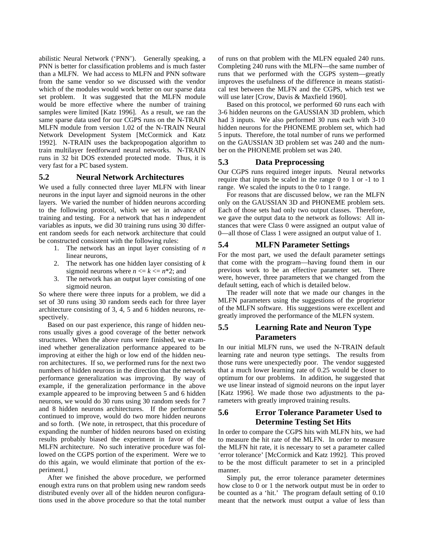abilistic Neural Network ('PNN'). Generally speaking, a PNN is better for classification problems and is much faster than a MLFN. We had access to MLFN and PNN software from the same vendor so we discussed with the vendor which of the modules would work better on our sparse data set problem. It was suggested that the MLFN module would be more effective where the number of training samples were limited [Katz 1996]. As a result, we ran the same sparse data used for our CGPS runs on the N-TRAIN MLFN module from version 1.02 of the N-TRAIN Neural Network Development System [McCormick and Katz 1992]. N-TRAIN uses the backpropogation algorithm to train multilayer feedforward neural networks. N-TRAIN runs in 32 bit DOS extended protected mode. Thus, it is very fast for a PC based system.

#### **5.2 Neural Network Architectures**

We used a fully connected three layer MLFN with linear neurons in the input layer and sigmoid neurons in the other layers. We varied the number of hidden neurons according to the following protocol, which we set in advance of training and testing. For a network that has *n* independent variables as inputs, we did 30 training runs using 30 different random seeds for each network architecture that could be constructed consistent with the following rules:

- 1. The network has an input layer consisting of *n* linear neurons,
- 2. The network has one hidden layer consisting of *k* sigmoid neurons where  $n \leq k \leq n^*2$ ; and
- 3. The network has an output layer consisting of one sigmoid neuron.

So where there were three inputs for a problem, we did a set of 30 runs using 30 random seeds each for three layer architecture consisting of 3, 4, 5 and 6 hidden neurons, respectively.

Based on our past experience, this range of hidden neurons usually gives a good coverage of the better network structures. When the above runs were finished, we examined whether generalization performance appeared to be improving at either the high or low end of the hidden neuron architectures. If so, we performed runs for the next two numbers of hidden neurons in the direction that the network performance generalization was improving. By way of example, if the generalization performance in the above example appeared to be improving between 5 and 6 hidden neurons, we would do 30 runs using 30 random seeds for 7 and 8 hidden neurons architectures. If the performance continued to improve, would do two more hidden neurons and so forth. {We note, in retrospect, that this procedure of expanding the number of hidden neurons based on existing results probably biased the experiment in favor of the MLFN architecture. No such interative procedure was followed on the CGPS portion of the experiment. Were we to do this again, we would eliminate that portion of the experiment.}

After we finished the above procedure, we performed enough extra runs on that problem using new random seeds distributed evenly over all of the hidden neuron configurations used in the above procedure so that the total number of runs on that problem with the MLFN equaled 240 runs. Completing 240 runs with the MLFN—the same number of runs that we performed with the CGPS system—greatly improves the usefulness of the difference in means statistical test between the MLFN and the CGPS, which test we will use later [Crow, Davis & Maxfield 1960].

Based on this protocol, we performed 60 runs each with 3-6 hidden neurons on the GAUSSIAN 3D problem, which had 3 inputs. We also performed 30 runs each with 3-10 hidden neurons for the PHONEME problem set, which had 5 inputs. Therefore, the total number of runs we performed on the GAUSSIAN 3D problem set was 240 and the number on the PHONEME problem set was 240.

#### **5.3 Data Preprocessing**

Our CGPS runs required integer inputs. Neural networks require that inputs be scaled in the range 0 to 1 or -1 to 1 range. We scaled the inputs to the 0 to 1 range.

For reasons that are discussed below, we ran the MLFN only on the GAUSSIAN 3D and PHONEME problem sets. Each of those sets had only two output classes. Therefore, we gave the output data to the network as follows: All instances that were Class 0 were assigned an output value of 0—all those of Class 1 were assigned an output value of 1.

#### **5.4 MLFN Parameter Settings**

For the most part, we used the default parameter settings that come with the program—having found them in our previous work to be an effective parameter set. There were, however, three parameters that we changed from the default setting, each of which is detailed below.

The reader will note that we made our changes in the MLFN parameters using the suggestions of the proprietor of the MLFN software. His suggestions were excellent and greatly improved the performance of the MLFN system.

### **5.5 Learning Rate and Neuron Type Parameters**

In our initial MLFN runs, we used the N-TRAIN default learning rate and neuron type settings. The results from those runs were unexpectedly poor. The vendor suggested that a much lower learning rate of 0.25 would be closer to optimum for our problems. In addition, he suggested that we use linear instead of sigmoid neurons on the input layer [Katz 1996]. We made those two adjustments to the parameters with greatly improved training results.

### **5.6 Error Tolerance Parameter Used to Determine Testing Set Hits**

In order to compare the CGPS hits with MLFN hits, we had to measure the hit rate of the MLFN. In order to measure the MLFN hit rate, it is necessary to set a parameter called 'error tolerance' [McCormick and Katz 1992]. This proved to be the most difficult parameter to set in a principled manner.

Simply put, the error tolerance parameter determines how close to 0 or 1 the network output must be in order to be counted as a 'hit.' The program default setting of 0.10 meant that the network must output a value of less than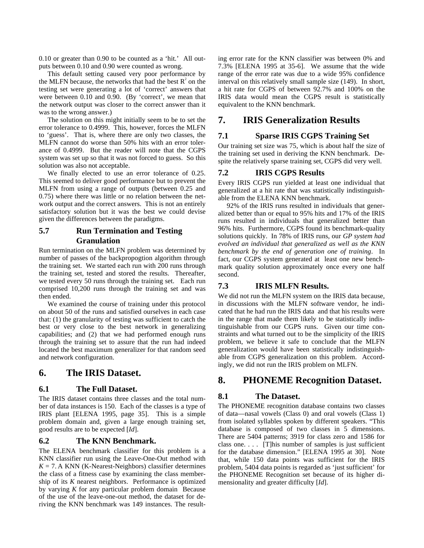0.10 or greater than 0.90 to be counted as a 'hit.' All outputs between 0.10 and 0.90 were counted as wrong.

This default setting caused very poor performance by the MLFN because, the networks that had the best  $R^2$  on the testing set were generating a lot of 'correct' answers that were between 0.10 and 0.90. (By 'correct', we mean that the network output was closer to the correct answer than it was to the wrong answer.)

The solution on this might initially seem to be to set the error tolerance to 0.4999. This, however, forces the MLFN to 'guess'. That is, where there are only two classes, the MLFN cannot do worse than 50% hits with an error tolerance of 0.4999. But the reader will note that the CGPS system was set up so that it was not forced to guess. So this solution was also not acceptable.

We finally elected to use an error tolerance of 0.25. This seemed to deliver good performance but to prevent the MLFN from using a range of outputs (between 0.25 and 0.75) where there was little or no relation between the network output and the correct answers. This is not an entirely satisfactory solution but it was the best we could devise given the differences between the paradigms.

### **5.7 Run Termination and Testing Granulation**

Run termination on the MLFN problem was determined by number of passes of the backpropogtion algorithm through the training set. We started each run with 200 runs through the training set, tested and stored the results. Thereafter, we tested every 50 runs through the training set. Each run comprised 10,200 runs through the training set and was then ended.

We examined the course of training under this protocol on about 50 of the runs and satisfied ourselves in each case that: (1) the granularity of testing was sufficient to catch the best or very close to the best network in generalizing capabilities; and (2) that we had performed enough runs through the training set to assure that the run had indeed located the best maximum generalizer for that random seed and network configuration.

### **6. The IRIS Dataset.**

#### **6.1 The Full Dataset.**

The IRIS dataset contains three classes and the total number of data instances is 150. Each of the classes is a type of IRIS plant [ELENA 1995, page 35]. This is a simple problem domain and, given a large enough training set, good results are to be expected [*Id*].

#### **6.2 The KNN Benchmark.**

The ELENA benchmark classifier for this problem is a KNN classifier run using the Leave-One-Out method with  $K = 7$ . A KNN (K-Nearest-Neighbors) classifier determines the class of a fitness case by examining the class membership of its *K* nearest neighbors. Performance is optimized by varying *K* for any particular problem domain Because of the use of the leave-one-out method, the dataset for deriving the KNN benchmark was 149 instances. The resulting error rate for the KNN classifier was between 0% and 7.3% [ELENA 1995 at 35-6]. We assume that the wide range of the error rate was due to a wide 95% confidence interval on this relatively small sample size (149). In short, a hit rate for CGPS of between 92.7% and 100% on the IRIS data would mean the CGPS result is statistically equivalent to the KNN benchmark.

### **7. IRIS Generalization Results**

### **7.1 Sparse IRIS CGPS Training Set**

Our training set size was 75, which is about half the size of the training set used in deriving the KNN benchmark. Despite the relatively sparse training set, CGPS did very well.

### **7.2 IRIS CGPS Results**

Every IRIS CGPS run yielded at least one individual that generalized at a hit rate that was statistically indistinguishable from the ELENA KNN benchmark.

92% of the IRIS runs resulted in individuals that generalized better than or equal to 95% hits and 17% of the IRIS runs resulted in individuals that generalized better than 96% hits. Furthermore, CGPS found its benchmark-quality solutions quickly. In 78% of IRIS runs, our *GP system had evolved an individual that generalized as well as the KNN benchmark by the end of generation one of training*. In fact, our CGPS system generated at least one new benchmark quality solution approximately once every one half second.

### **7.3 IRIS MLFN Results.**

We did not run the MLFN system on the IRIS data because, in discussions with the MLFN software vendor, he indicated that he had run the IRIS data and that his results were in the range that made them likely to be statistically indistinguishable from our CGPS runs. Given our time constraints and what turned out to be the simplicity of the IRIS problem, we believe it safe to conclude that the MLFN generalization would have been statistically indistinguishable from CGPS generalization on this problem. Accordingly, we did not run the IRIS problem on MLFN.

### **8. PHONEME Recognition Dataset.**

### **8.1 The Dataset.**

The PHONEME recognition database contains two classes of data—nasal vowels (Class 0) and oral vowels (Class 1) from isolated syllables spoken by different speakers. "This database is composed of two classes in 5 dimensions. There are 5404 patterns; 3919 for class zero and 1586 for class one. . . . [T]his number of samples is just sufficient for the database dimension." [ELENA 1995 at 30]. Note that, while 150 data points was sufficient for the IRIS problem, 5404 data points is regarded as 'just sufficient' for the PHONEME Recognition set because of its higher dimensionality and greater difficulty [*Id*].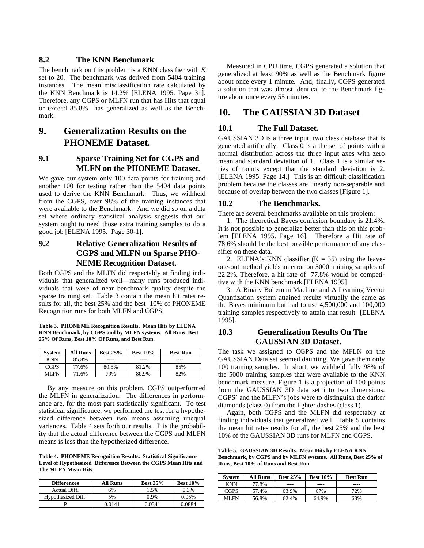#### **8.2 The KNN Benchmark**

The benchmark on this problem is a KNN classifier with *K* set to 20. The benchmark was derived from 5404 training instances. The mean misclassification rate calculated by the KNN Benchmark is 14.2% [ELENA 1995. Page 31]. Therefore, any CGPS or MLFN run that has Hits that equal or exceed 85.8% has generalized as well as the Benchmark.

# **9. Generalization Results on the PHONEME Dataset.**

### **9.1 Sparse Training Set for CGPS and MLFN on the PHONEME Dataset.**

We gave our system only 100 data points for training and another 100 for testing rather than the 5404 data points used to derive the KNN Benchmark. Thus, we withheld from the CGPS, over 98% of the training instances that were available to the Benchmark. And we did so on a data set where ordinary statistical analysis suggests that our system ought to need those extra training samples to do a good job [ELENA 1995. Page 30-1].

### **9.2 Relative Generalization Results of CGPS and MLFN on Sparse PHO-NEME Recognition Dataset.**

Both CGPS and the MLFN did respectably at finding individuals that generalized well—many runs produced individuals that were of near benchmark quality despite the sparse training set. Table 3 contain the mean hit rates results for all, the best 25% and the best 10% of PHONEME Recognition runs for both MLFN and CGPS.

**Table 3. PHONEME Recognition Results. Mean Hits by ELENA KNN Benchmark, by CGPS and by MLFN systems. All Runs, Best 25% Of Runs, Best 10% Of Runs, and Best Run.**

| System      | <b>All Runs</b> | <b>Best 25%</b> | <b>Best 10%</b> | <b>Best Run</b> |
|-------------|-----------------|-----------------|-----------------|-----------------|
| <b>KNN</b>  | 85.8%           | ----            | ----            | ---             |
| <b>CGPS</b> | 77.6%           | 80.5%           | 81.2%           | 85%             |
| ML FN       | 71.6%           | 79%             | 80.9%           | 82%             |

By any measure on this problem, CGPS outperformed the MLFN in generalization. The differences in performance are, for the most part statistically significant. To test statistical significance, we performed the test for a hypothesized difference between two means assuming unequal variances. Table 4 sets forth our results. P is the probability that the actual difference between the CGPS and MLFN means is less than the hypothesized difference.

**Table 4. PHONEME Recognition Results. Statistical Significance Level of Hypothesized Difference Between the CGPS Mean Hits and The MLFN Mean Hits.**

| <b>Differences</b> | <b>All Runs</b> | <b>Best 25%</b> | <b>Best 10%</b> |
|--------------------|-----------------|-----------------|-----------------|
| Actual Diff.       | 6%              | 1.5%            | 0.3%            |
| Hypothesized Diff. | 5%              | 0.9%            | 0.05%           |
|                    | 0.0141          | በ በ341          | 0.0884          |

Measured in CPU time, CGPS generated a solution that generalized at least 90% as well as the Benchmark figure about once every 1 minute. And, finally, CGPS generated a solution that was almost identical to the Benchmark figure about once every 55 minutes.

### **10. The GAUSSIAN 3D Dataset**

#### **10.1 The Full Dataset.**

GAUSSIAN 3D is a three input, two class database that is generated artificially. Class 0 is a the set of points with a normal distribution across the three input axes with zero mean and standard deviation of 1. Class 1 is a similar series of points except that the standard deviation is 2. [ELENA 1995. Page 14.] This is an difficult classification problem because the classes are linearly non-separable and because of overlap between the two classes [Figure 1].

#### **10.2 The Benchmarks.**

There are several benchmarks available on this problem:

1. The theoretical Bayes confusion boundary is 21.4%. It is not possible to generalize better than this on this problem [ELENA 1995. Page 16]. Therefore a Hit rate of 78.6% should be the best possible performance of any classifier on these data.

2. ELENA's KNN classifier  $(K = 35)$  using the leaveone-out method yields an error on 5000 training samples of 22.2%. Therefore, a hit rate of 77.8% would be competitive with the KNN benchmark [ELENA 1995]

3. A Binary Boltzman Machine and A Learning Vector Quantization system attained results virtually the same as the Bayes minimum but had to use 4,500,000 and 100,000 training samples respectively to attain that result [ELENA 1995].

### **10.3 Generalization Results On The GAUSSIAN 3D Dataset.**

The task we assigned to CGPS and the MFLN on the GAUSSIAN Data set seemed daunting*.* We gave them only 100 training samples. In short, we withheld fully 98% of the 5000 training samples that were available to the KNN benchmark measure. Figure 1 is a projection of 100 points from the GAUSSIAN 3D data set into two dimensions. CGPS' and the MLFN's jobs were to distinguish the darker diamonds (class 0) from the lighter dashes (class 1).

Again, both CGPS and the MLFN did respectably at finding individuals that generalized well. Table 5 contains the mean hit rates results for all, the best 25% and the best 10% of the GAUSSIAN 3D runs for MLFN and CGPS.

**Table 5. GAUSSIAN 3D Results. Mean Hits by ELENA KNN Benchmark, by CGPS and by MLFN systems. All Runs, Best 25% of Runs, Best 10% of Runs and Best Run**

| <b>System</b> | All Runs | <b>Best 25%</b> | Best $10\%$ | <b>Best Run</b> |
|---------------|----------|-----------------|-------------|-----------------|
| <b>KNN</b>    | 77.8%    |                 |             | ----            |
| <b>CGPS</b>   | 57.4%    | 63.9%           | 67%         | 72%             |
| MI FN         | 56.8%    | 62.4%           | 64.9%       | 68%             |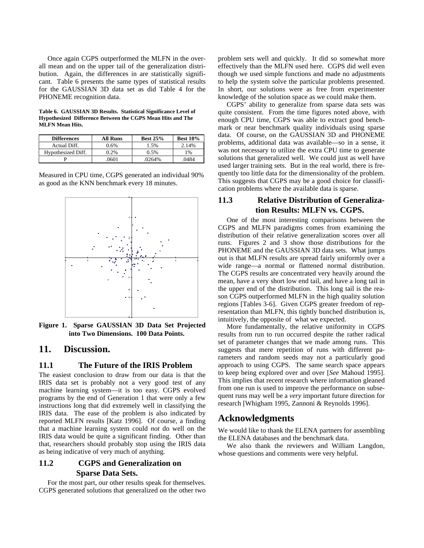Once again CGPS outperformed the MLFN in the overall mean and on the upper tail of the generalization distribution. Again, the differences in are statistically significant. Table 6 presents the same types of statistical results for the GAUSSIAN 3D data set as did Table 4 for the PHONEME recognition data.

**Table 6. GAUSSIAN 3D Results. Statistical Significance Level of Hypothesized Difference Between the CGPS Mean Hits and The MLFN Mean Hits.**

| <b>Differences</b> | All Runs | <b>Best 25%</b> | <b>Best 10%</b> |
|--------------------|----------|-----------------|-----------------|
| Actual Diff.       | 0.6%     | 1.5%            | 2.14%           |
| Hypothesized Diff. | 0.2%     | 0.5%            | 1%              |
|                    | .0601    | .0264%          | .0484           |

Measured in CPU time, CGPS generated an individual 90% as good as the KNN benchmark every 18 minutes.



**Figure 1. Sparse GAUSSIAN 3D Data Set Projected into Two Dimensions. 100 Data Points.**

### **11. Discussion.**

#### **11.1 The Future of the IRIS Problem**

The easiest conclusion to draw from our data is that the IRIS data set is probably not a very good test of any machine learning system—it is too easy. CGPS evolved programs by the end of Generation 1 that were only a few instructions long that did extremely well in classifying the IRIS data. The ease of the problem is also indicated by reported MLFN results [Katz 1996]. Of course, a finding that a machine learning system could *not* do well on the IRIS data would be quite a significant finding. Other than that, researchers should probably stop using the IRIS data as being indicative of very much of anything.

### **11.2 CGPS and Generalization on Sparse Data Sets.**

For the most part, our other results speak for themselves. CGPS generated solutions that generalized on the other two problem sets well and quickly. It did so somewhat more effectively than the MLFN used here. CGPS did well even though we used simple functions and made no adjustments to help the system solve the particular problems presented. In short, our solutions were as free from experimenter knowledge of the solution space as we could make them.

CGPS' ability to generalize from sparse data sets was quite consistent. From the time figures noted above, with enough CPU time, CGPS was able to extract good benchmark or near benchmark quality individuals using sparse data. Of course, on the GAUSSIAN 3D and PHONEME problems, additional data was available—so in a sense, it was not necessary to utilize the extra CPU time to generate solutions that generalized well. We could just as well have used larger training sets. But in the real world, there is frequently too little data for the dimensionality of the problem. This suggests that CGPS may be a good choice for classification problems where the available data is sparse.

### **11.3 Relative Distribution of Generalization Results: MLFN vs. CGPS.**

One of the most interesting comparisons between the CGPS and MLFN paradigms comes from examining the distribution of their relative generalization scores over all runs. Figures 2 and 3 show those distributions for the PHONEME and the GAUSSIAN 3D data sets. What jumps out is that MLFN results are spread fairly uniformly over a wide range—a normal or flattened normal distribution. The CGPS results are concentrated very heavily around the mean, have a very short low end tail, and have a long tail in the upper end of the distribution. This long tail is the reason CGPS outperformed MLFN in the high quality solution regions [Tables 3-6]. Given CGPS greater freedom of representation than MLFN, this tightly bunched distribution is, intuitively, the opposite of what we expected.

More fundamentally, the relative uniformity in CGPS results from run to run occurred despite the rather radical set of parameter changes that we made among runs. This suggests that mere repetition of runs with different parameters and random seeds may not a particularly good approach to using CGPS. The same search space appears to keep being explored over and over [*See* Mahoud 1995]. This implies that recent research where information gleaned from one run is used to improve the performance on subsequent runs may well be a *very* important future direction for research [Whigham 1995, Zannoni & Reynolds 1996].

### **Acknowledgments**

We would like to thank the ELENA partners for assembling the ELENA databases and the benchmark data.

We also thank the reviewers and William Langdon, whose questions and comments were very helpful.